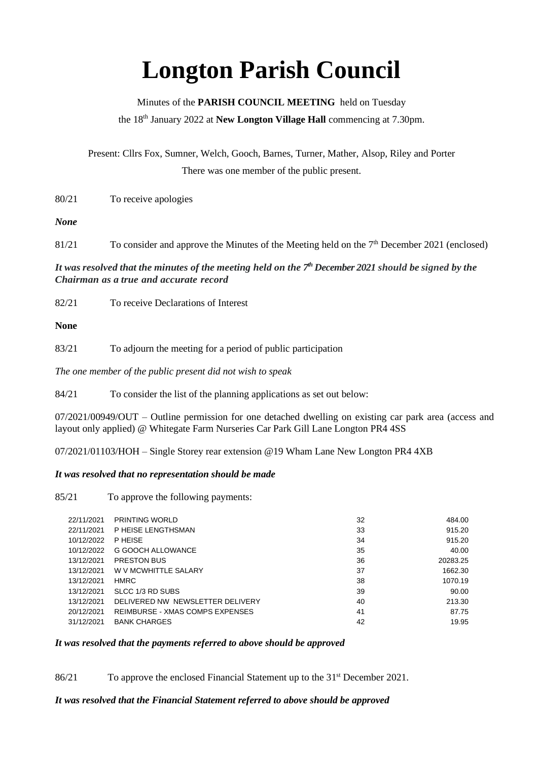## **Longton Parish Council**

Minutes of the **PARISH COUNCIL MEETING** held on Tuesday the 18<sup>th</sup> January 2022 at **New Longton Village Hall** commencing at 7.30pm.

Present: Cllrs Fox, Sumner, Welch, Gooch, Barnes, Turner, Mather, Alsop, Riley and Porter There was one member of the public present.

80/21 To receive apologies

*None*

81/21 To consider and approve the Minutes of the Meeting held on the  $7<sup>th</sup>$  December 2021 (enclosed)

It was resolved that the minutes of the meeting held on the 7<sup>th</sup> December 2021 should be signed by the *Chairman as a true and accurate record*

82/21 To receive Declarations of Interest

**None**

83/21 To adjourn the meeting for a period of public participation

*The one member of the public present did not wish to speak*

84/21 To consider the list of the planning applications as set out below:

07/2021/00949/OUT – Outline permission for one detached dwelling on existing car park area (access and layout only applied) @ Whitegate Farm Nurseries Car Park Gill Lane Longton PR4 4SS

07/2021/01103/HOH – Single Storey rear extension @19 Wham Lane New Longton PR4 4XB

## *It was resolved that no representation should be made*

85/21 To approve the following payments:

| 22/11/2021 | <b>PRINTING WORLD</b>            | 32 | 484.00   |
|------------|----------------------------------|----|----------|
| 22/11/2021 | P HEISE LENGTHSMAN               | 33 | 915.20   |
| 10/12/2022 | P HFISF                          | 34 | 915.20   |
| 10/12/2022 | G GOOCH ALLOWANCE                | 35 | 40.00    |
| 13/12/2021 | <b>PRESTON BUS</b>               | 36 | 20283.25 |
| 13/12/2021 | W V MCWHITTLE SALARY             | 37 | 1662.30  |
| 13/12/2021 | <b>HMRC</b>                      | 38 | 1070.19  |
| 13/12/2021 | SLCC 1/3 RD SUBS                 | 39 | 90.00    |
| 13/12/2021 | DELIVERED NW NEWSLETTER DELIVERY | 40 | 213.30   |
| 20/12/2021 | REIMBURSE - XMAS COMPS EXPENSES  | 41 | 87.75    |
| 31/12/2021 | <b>BANK CHARGES</b>              | 42 | 19.95    |

## *It was resolved that the payments referred to above should be approved*

86/21 To approve the enclosed Financial Statement up to the 31<sup>st</sup> December 2021.

*It was resolved that the Financial Statement referred to above should be approved*